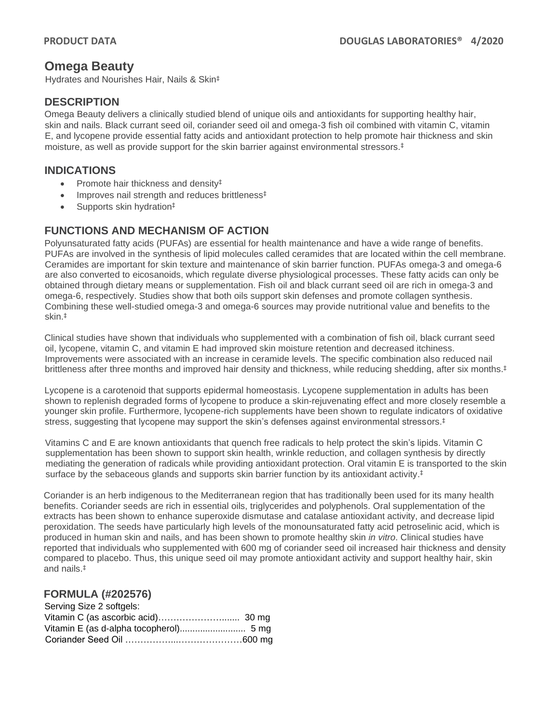# **Omega Beauty**

Hydrates and Nourishes Hair, Nails & Skin‡

## **DESCRIPTION**

Omega Beauty delivers a clinically studied blend of unique oils and antioxidants for supporting healthy hair, skin and nails. Black currant seed oil, coriander seed oil and omega-3 fish oil combined with vitamin C, vitamin E, and lycopene provide essential fatty acids and antioxidant protection to help promote hair thickness and skin moisture, as well as provide support for the skin barrier against environmental stressors.‡

### **INDICATIONS**

- Promote hair thickness and density#
- Improves nail strength and reduces brittleness<sup>‡</sup>
- Supports skin hydration<sup>‡</sup>

## **FUNCTIONS AND MECHANISM OF ACTION**

Polyunsaturated fatty acids (PUFAs) are essential for health maintenance and have a wide range of benefits. PUFAs are involved in the synthesis of lipid molecules called ceramides that are located within the cell membrane. Ceramides are important for skin texture and maintenance of skin barrier function. PUFAs omega-3 and omega-6 are also converted to eicosanoids, which regulate diverse physiological processes. These fatty acids can only be obtained through dietary means or supplementation. Fish oil and black currant seed oil are rich in omega-3 and omega-6, respectively. Studies show that both oils support skin defenses and promote collagen synthesis. Combining these well-studied omega-3 and omega-6 sources may provide nutritional value and benefits to the skin. ‡

Clinical studies have shown that individuals who supplemented with a combination of fish oil, black currant seed oil, lycopene, vitamin C, and vitamin E had improved skin moisture retention and decreased itchiness. Improvements were associated with an increase in ceramide levels. The specific combination also reduced nail brittleness after three months and improved hair density and thickness, while reducing shedding, after six months. ‡

Lycopene is a carotenoid that supports epidermal homeostasis. Lycopene supplementation in adults has been shown to replenish degraded forms of lycopene to produce a skin-rejuvenating effect and more closely resemble a younger skin profile. Furthermore, lycopene-rich supplements have been shown to regulate indicators of oxidative stress, suggesting that lycopene may support the skin's defenses against environmental stressors. ‡

Vitamins C and E are known antioxidants that quench free radicals to help protect the skin's lipids. Vitamin C supplementation has been shown to support skin health, wrinkle reduction, and collagen synthesis by directly mediating the generation of radicals while providing antioxidant protection. Oral vitamin E is transported to the skin surface by the sebaceous glands and supports skin barrier function by its antioxidant activity. ‡

Coriander is an herb indigenous to the Mediterranean region that has traditionally been used for its many health benefits. Coriander seeds are rich in essential oils, triglycerides and polyphenols. Oral supplementation of the extracts has been shown to enhance superoxide dismutase and catalase antioxidant activity, and decrease lipid peroxidation. The seeds have particularly high levels of the monounsaturated fatty acid petroselinic acid, which is produced in human skin and nails, and has been shown to promote healthy skin *in vitro*. Clinical studies have reported that individuals who supplemented with 600 mg of coriander seed oil increased hair thickness and density compared to placebo. Thus, this unique seed oil may promote antioxidant activity and support healthy hair, skin and nails.‡

## **FORMULA (#202576)**

| Serving Size 2 softgels: |  |
|--------------------------|--|
|                          |  |
|                          |  |
|                          |  |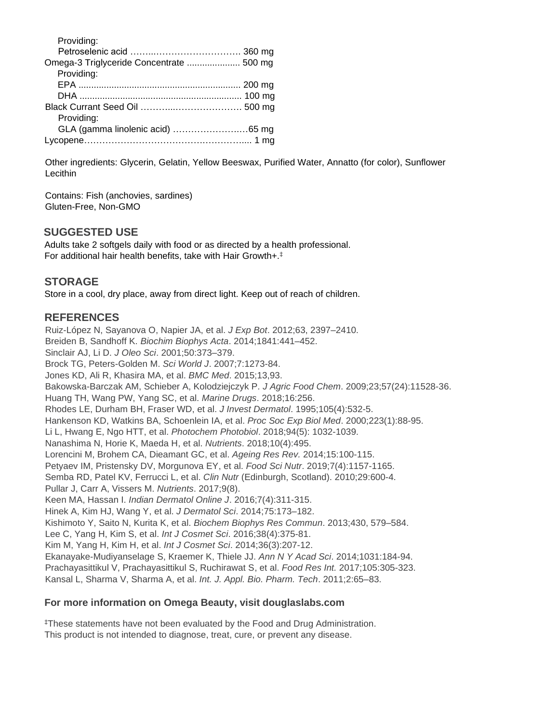| Omega-3 Triglyceride Concentrate  500 mg<br>Providing: |
|--------------------------------------------------------|
|                                                        |
|                                                        |
|                                                        |
|                                                        |
|                                                        |
|                                                        |
| Providing:                                             |
|                                                        |
|                                                        |

Other ingredients: Glycerin, Gelatin, Yellow Beeswax, Purified Water, Annatto (for color), Sunflower **Lecithin** 

Contains: Fish (anchovies, sardines) Gluten-Free, Non-GMO

## **SUGGESTED USE**

Adults take 2 softgels daily with food or as directed by a health professional. For additional hair health benefits, take with Hair Growth+.‡

## **STORAGE**

Store in a cool, dry place, away from direct light. Keep out of reach of children.

#### **REFERENCES**

Ruiz-López N, Sayanova O, Napier JA, et al. *J Exp Bot*. 2012;63, 2397–2410. Breiden B, Sandhoff K. *Biochim Biophys Acta*. 2014;1841:441–452. Sinclair AJ, Li D. *J Oleo Sci*. 2001;50:373–379. Brock TG, Peters-Golden M. *Sci World J*. 2007;7:1273-84. Jones KD, Ali R, Khasira MA, et al. *BMC Med*. 2015;13,93. Bakowska-Barczak AM, Schieber A, Kolodziejczyk P. *J Agric Food Chem*. 2009;23;57(24):11528-36. Huang TH, Wang PW, Yang SC, et al. *Marine Drugs*. 2018;16:256. Rhodes LE, Durham BH, Fraser WD, et al. *J Invest Dermatol*. 1995;105(4):532-5. Hankenson KD, Watkins BA, Schoenlein IA, et al. *Proc Soc Exp Biol Med*. 2000;223(1):88-95. Li L, Hwang E, Ngo HTT, et al. *Photochem Photobiol*. 2018;94(5): 1032-1039. Nanashima N, Horie K, Maeda H, et al. *Nutrients*. 2018;10(4):495. Lorencini M, Brohem CA, Dieamant GC, et al. *Ageing Res Rev.* 2014;15:100-115. Petyaev IM, Pristensky DV, Morgunova EY, et al. *Food Sci Nutr*. 2019;7(4):1157-1165. Semba RD, Patel KV, Ferrucci L, et al. *Clin Nutr* (Edinburgh, Scotland). 2010;29:600-4. Pullar J, Carr A, Vissers M. *Nutrients*. 2017;9(8). Keen MA, Hassan I. *Indian Dermatol Online J*. 2016;7(4):311-315. Hinek A, Kim HJ, Wang Y, et al. *J Dermatol Sci*. 2014;75:173–182. Kishimoto Y, Saito N, Kurita K, et al. *Biochem Biophys Res Commun*. 2013;430, 579–584. Lee C, Yang H, Kim S, et al. *Int J Cosmet Sci*. 2016;38(4):375-81. Kim M, Yang H, Kim H, et al. *Int J Cosmet Sci*. 2014;36(3):207-12. Ekanayake-Mudiyanselage S, Kraemer K, Thiele JJ. *Ann N Y Acad Sci*. 2014;1031:184-94. Prachayasittikul V, Prachayasittikul S, Ruchirawat S, et al. *Food Res Int.* 2017;105:305-323. Kansal L, Sharma V, Sharma A, et al. *Int. J. Appl. Bio. Pharm. Tech*. 2011;2:65–83.

#### **For more information on Omega Beauty, visit douglaslabs.com**

‡These statements have not been evaluated by the Food and Drug Administration. This product is not intended to diagnose, treat, cure, or prevent any disease.